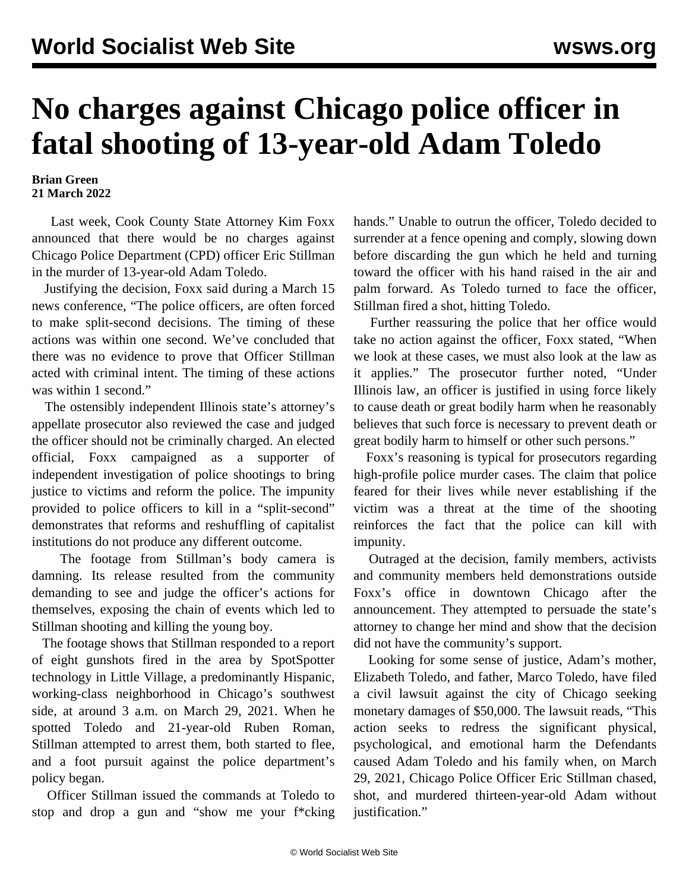## **No charges against Chicago police officer in fatal shooting of 13-year-old Adam Toledo**

## **Brian Green 21 March 2022**

 Last week, Cook County State Attorney Kim Foxx announced that there would be no charges against Chicago Police Department (CPD) [officer](/en/articles/2021/04/16/tole-a16.html) Eric Stillman in the murder of 13-year-old Adam Toledo.

 Justifying the decision, Foxx said during a March 15 news conference, "The police officers, are often forced to make split-second decisions. The timing of these actions was within one second. We've concluded that there was no evidence to prove that Officer Stillman acted with criminal intent. The timing of these actions was within 1 second."

 The ostensibly independent Illinois state's attorney's appellate prosecutor also reviewed the case and judged the officer should not be criminally charged. An elected official, Foxx campaigned as a supporter of independent investigation of police shootings to bring justice to victims and reform the police. The impunity provided to police officers to kill in a "split-second" demonstrates that reforms and reshuffling of capitalist institutions do not produce any different outcome.

 The footage from Stillman's body camera is damning. Its release resulted from the community demanding to see and judge the officer's actions for themselves, exposing the chain of events which led to Stillman shooting and killing the young boy.

 The footage shows that Stillman responded to a report of eight gunshots fired in the area by SpotSpotter technology in Little Village, a predominantly Hispanic, working-class neighborhood in Chicago's southwest side, at around 3 a.m. on March 29, 2021. When he spotted Toledo and 21-year-old Ruben Roman, Stillman attempted to arrest them, both started to flee, and a foot pursuit against the police department's policy began.

 Officer Stillman issued the commands at Toledo to stop and drop a gun and "show me your f\*cking hands." Unable to outrun the officer, Toledo decided to surrender at a fence opening and comply, slowing down before discarding the gun which he held and turning toward the officer with his hand raised in the air and palm forward. As Toledo turned to face the officer, Stillman fired a shot, hitting Toledo.

 Further reassuring the police that her office would take no action against the officer, Foxx stated, "When we look at these cases, we must also look at the law as it applies." The prosecutor further noted, "Under Illinois law, an officer is justified in using force likely to cause death or great bodily harm when he reasonably believes that such force is necessary to prevent death or great bodily harm to himself or other such persons."

 Foxx's reasoning is typical for prosecutors regarding high-profile police murder cases. The claim that police feared for their lives while never establishing if the victim was a threat at the time of the shooting reinforces the fact that the police can kill with impunity.

 Outraged at the decision, family members, activists and community members held demonstrations outside Foxx's office in downtown Chicago after the announcement. They attempted to persuade the state's attorney to change her mind and show that the decision did not have the community's support.

 Looking for some sense of justice, Adam's mother, Elizabeth Toledo, and father, Marco Toledo, have filed a civil lawsuit against the city of Chicago seeking monetary damages of \$50,000. The lawsuit reads, "This action seeks to redress the significant physical, psychological, and emotional harm the Defendants caused Adam Toledo and his family when, on March 29, 2021, Chicago Police Officer Eric Stillman chased, shot, and murdered thirteen-year-old Adam without justification."